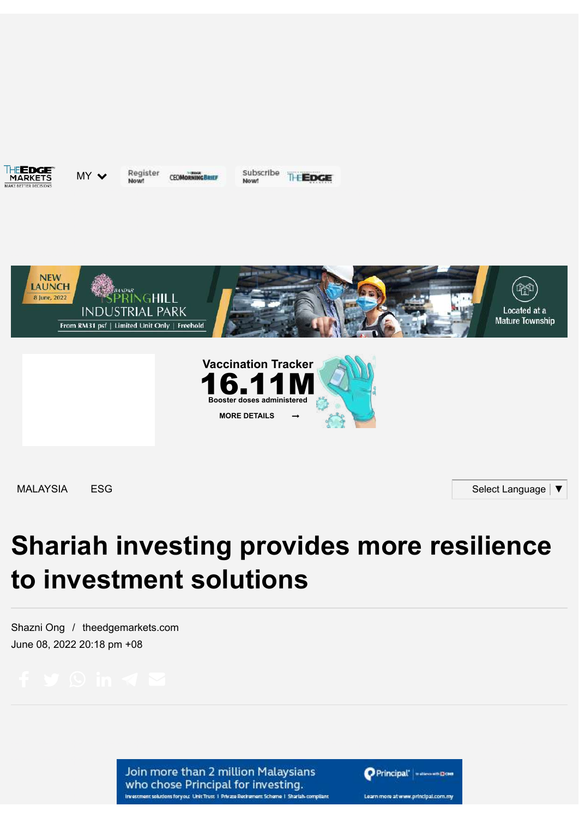THE**EDGE** 

MY V Nowt

Register **CEOMORNINGBRIEF**  Subscribe THEDGE



[MALAYSIA](https://www.theedgemarkets.com/categories/malaysia) [ESG](https://www.theedgemarkets.com/options/esg) Select [Language](javascript:void(0)) | ▼

# **Shariah investing provides more resilience to investment solutions**

[Shazni Ong](https://www.theedgemarkets.com/author/Shazni%20Ong) / [theedgemarkets.com](https://www.theedgemarkets.com/source/theedgemarkets.com) June 08, 2022 20:18 pm +08

Join more than 2 million Malaysians who chose Principal for investing. Investment solutions for you: Unit Trust 1 Private Recirement Scheme 1 Sharlah-compliant Principal' | www.wealout

Learn more at www.principal.com.my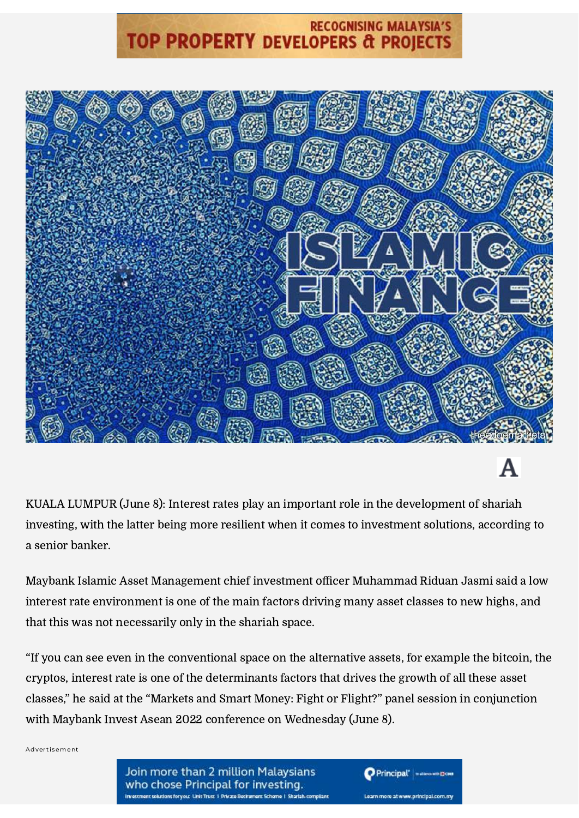## **RECOGNISING MALAYSIA'S TOP PROPERTY DEVELOPERS & PROJECTS**



## A

KUALA LUMPUR (June 8): Interest rates play an important role in the development of shariah investing, with the latter being more resilient when it comes to investment solutions, according to a senior banker.

Maybank Islamic Asset Management chief investment officer Muhammad Riduan Jasmi said a low interest rate environment is one of the main factors driving many asset classes to new highs, and that this was not necessarily only in the shariah space.

"If you can see even in the conventional space on the alternative assets, for example the bitcoin, the cryptos, interest rate is one of the determinants factors that drives the growth of all these asset classes," he said at the "Markets and Smart Money: Fight or Flight?" panel session in conjunction with Maybank Invest Asean 2022 conference on Wednesday (June 8).

Advertisement

Principal' **Maxwelles** Learn more at www.principal.com.my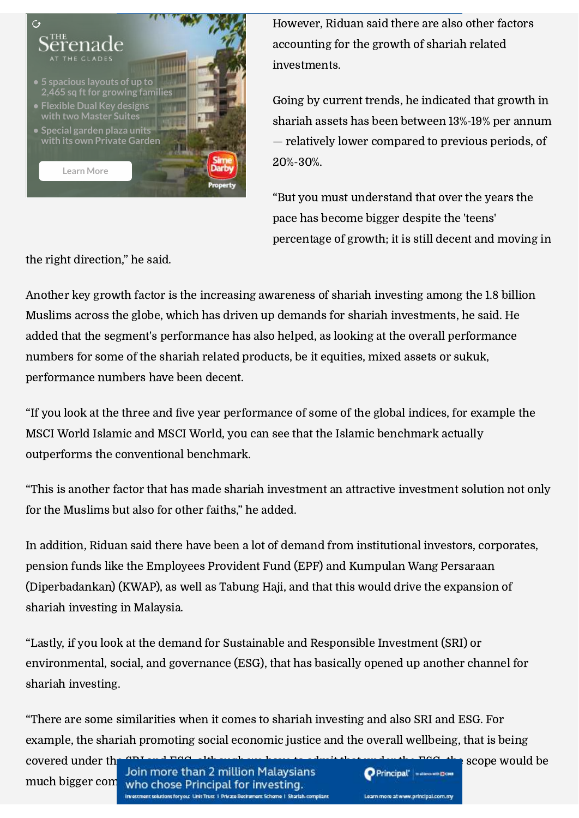

However, Riduan said there are also other factors accounting for the growth of shariah related investments.

Going by current trends, he indicated that growth in shariah assets has been between 13%-19% per annum — relatively lower compared to previous periods, of 20%-30%.

"But you must understand that over the years the pace has become bigger despite the 'teens' percentage of growth; it is still decent and moving in

the right direction," he said.

Another key growth factor is the increasing awareness of shariah investing among the 1.8 billion Muslims across the globe, which has driven up demands for shariah investments, he said. He added that the segment's performance has also helped, as looking at the overall performance numbers for some of the shariah related products, be it equities, mixed assets or sukuk, performance numbers have been decent.

"If you look at the three and five year performance of some of the global indices, for example the MSCI World Islamic and MSCI World, you can see that the Islamic benchmark actually outperforms the conventional benchmark.

"This is another factor that has made shariah investment an attractive investment solution not only for the Muslims but also for other faiths," he added.

In addition, Riduan said there have been a lot of demand from institutional investors, corporates, pension funds like the Employees Provident Fund (EPF) and Kumpulan Wang Persaraan (Diperbadankan) (KWAP), as well as Tabung Haji, and that this would drive the expansion of shariah investing in Malaysia.

"Lastly, if you look at the demand for Sustainable and Responsible Investment (SRI) or environmental, social, and governance (ESG), that has basically opened up another channel for shariah investing.

"There are some similarities when it comes to shariah investing and also SRI and ESG. For example, the shariah promoting social economic justice and the overall wellbeing, that is being

covered under the SRI and ESG, although we have to admit that we have ESG, the scope would be covered under the Soin more than 2 million Malaysians much bigger com who chose Principal for investing. r solutions forward Unit Trust 1 Private Recirc

Principal' | ...

Learn more at www.principal.com.my